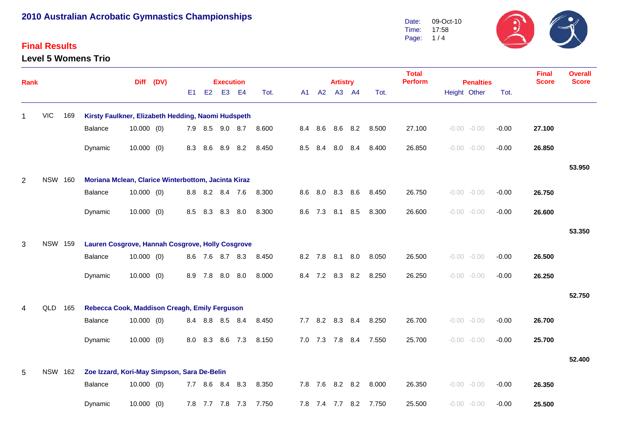#### **Final Results**

**Level 5 Womens Trio**



| <b>Rank</b>    |                |     |                                                     |              | Diff (DV) |     |     | <b>Execution</b> |     |       |    |             | <b>Artistry</b> |         |       | <b>Total</b><br><b>Perform</b> | <b>Penalties</b> |         | <b>Final</b><br><b>Score</b> | <b>Overall</b><br><b>Score</b> |
|----------------|----------------|-----|-----------------------------------------------------|--------------|-----------|-----|-----|------------------|-----|-------|----|-------------|-----------------|---------|-------|--------------------------------|------------------|---------|------------------------------|--------------------------------|
|                |                |     |                                                     |              |           | E1  | E2  | E3 E4            |     | Tot.  | A1 |             | A2 A3 A4        |         | Tot.  |                                | Height Other     | Tot.    |                              |                                |
|                | <b>VIC</b>     | 169 | Kirsty Faulkner, Elizabeth Hedding, Naomi Hudspeth  |              |           |     |     |                  |     |       |    |             |                 |         |       |                                |                  |         |                              |                                |
|                |                |     | Balance                                             | $10.000$ (0) |           |     |     | 7.9 8.5 9.0 8.7  |     | 8.600 |    | 8.4 8.6     |                 | 8.6 8.2 | 8.500 | 27.100                         | $-0.00 - 0.00$   | $-0.00$ | 27.100                       |                                |
|                |                |     | Dynamic                                             | $10.000$ (0) |           | 8.3 | 8.6 | 8.9              | 8.2 | 8.450 |    | 8.5 8.4     |                 | 8.0 8.4 | 8.400 | 26.850                         | $-0.00 - 0.00$   | $-0.00$ | 26.850                       |                                |
|                |                |     |                                                     |              |           |     |     |                  |     |       |    |             |                 |         |       |                                |                  |         |                              | 53.950                         |
| $\overline{2}$ | <b>NSW 160</b> |     | Moriana Mclean, Clarice Winterbottom, Jacinta Kiraz |              |           |     |     |                  |     |       |    |             |                 |         |       |                                |                  |         |                              |                                |
|                |                |     | Balance                                             | $10.000$ (0) |           |     |     | 8.8 8.2 8.4 7.6  |     | 8.300 |    | 8.6 8.0     | 8.3             | 8.6     | 8.450 | 26.750                         | $-0.00 - 0.00$   | $-0.00$ | 26.750                       |                                |
|                |                |     | Dynamic                                             | $10.000$ (0) |           | 8.5 | 8.3 | 8.3              | 8.0 | 8.300 |    | 8.6 7.3     | 8.1             | 8.5     | 8.300 | 26.600                         | $-0.00 - 0.00$   | $-0.00$ | 26.600                       |                                |
|                |                |     |                                                     |              |           |     |     |                  |     |       |    |             |                 |         |       |                                |                  |         |                              | 53.350                         |
| 3              | <b>NSW 159</b> |     | Lauren Cosgrove, Hannah Cosgrove, Holly Cosgrove    |              |           |     |     |                  |     |       |    |             |                 |         |       |                                |                  |         |                              |                                |
|                |                |     | Balance                                             | $10.000$ (0) |           |     |     | 8.6 7.6 8.7 8.3  |     | 8.450 |    |             | 8.2 7.8 8.1     | 8.0     | 8.050 | 26.500                         | $-0.00 - 0.00$   | $-0.00$ | 26.500                       |                                |
|                |                |     | Dynamic                                             | $10.000$ (0) |           | 8.9 | 7.8 | 8.0              | 8.0 | 8.000 |    | 8.4 7.2     | 8.3             | 8.2     | 8.250 | 26.250                         | $-0.00 - 0.00$   | $-0.00$ | 26.250                       |                                |
|                |                |     |                                                     |              |           |     |     |                  |     |       |    |             |                 |         |       |                                |                  |         |                              | 52.750                         |
| 4              | QLD            | 165 | Rebecca Cook, Maddison Creagh, Emily Ferguson       |              |           |     |     |                  |     |       |    |             |                 |         |       |                                |                  |         |                              |                                |
|                |                |     | Balance                                             | $10.000$ (0) |           |     |     | 8.4 8.8 8.5 8.4  |     | 8.450 |    |             | 7.7 8.2 8.3     | 8.4     | 8.250 | 26.700                         | $-0.00 - 0.00$   | $-0.00$ | 26.700                       |                                |
|                |                |     | Dynamic                                             | $10.000$ (0) |           | 8.0 | 8.3 | 8.6              | 7.3 | 8.150 |    | 7.0 7.3 7.8 |                 | 8.4     | 7.550 | 25.700                         | $-0.00 - 0.00$   | $-0.00$ | 25.700                       |                                |
|                |                |     |                                                     |              |           |     |     |                  |     |       |    |             |                 |         |       |                                |                  |         |                              | 52.400                         |
| 5              | <b>NSW 162</b> |     | Zoe Izzard, Kori-May Simpson, Sara De-Belin         |              |           |     |     |                  |     |       |    |             |                 |         |       |                                |                  |         |                              |                                |
|                |                |     | Balance                                             | $10.000$ (0) |           |     |     | 7.7 8.6 8.4      | 8.3 | 8.350 |    |             | 7.8 7.6 8.2 8.2 |         | 8.000 | 26.350                         | $-0.00 - 0.00$   | $-0.00$ | 26.350                       |                                |
|                |                |     | Dynamic                                             | $10.000$ (0) |           |     |     | 7.8 7.7 7.8 7.3  |     | 7.750 |    |             | 7.8 7.4 7.7     | 8.2     | 7.750 | 25.500                         | $-0.00 - 0.00$   | $-0.00$ | 25.500                       |                                |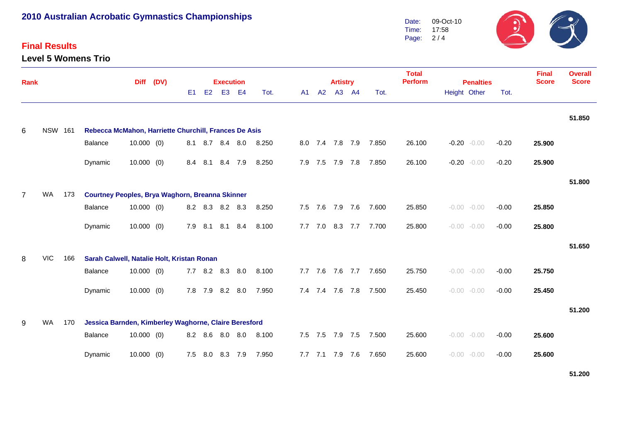#### **Final Results**

**Level 5 Womens Trio**



| <b>Rank</b>    |                |     |                                                        | <b>Diff</b>  | (DV) |     | <b>Execution</b> |                 |                |       |     |             | <b>Artistry</b> |         |                       | <b>Total</b><br><b>Perform</b> | <b>Final</b><br><b>Score</b> | <b>Overall</b><br><b>Score</b> |         |        |        |
|----------------|----------------|-----|--------------------------------------------------------|--------------|------|-----|------------------|-----------------|----------------|-------|-----|-------------|-----------------|---------|-----------------------|--------------------------------|------------------------------|--------------------------------|---------|--------|--------|
|                |                |     |                                                        |              |      | E1  | E2               | E <sub>3</sub>  | E <sub>4</sub> | Tot.  | A1  | A2          |                 | A3 A4   | Tot.                  |                                | Height Other                 | <b>Penalties</b>               | Tot.    |        |        |
|                |                |     |                                                        |              |      |     |                  |                 |                |       |     |             |                 |         |                       |                                |                              |                                |         |        | 51.850 |
| 6              | <b>NSW 161</b> |     | Rebecca McMahon, Harriette Churchill, Frances De Asis  |              |      |     |                  |                 |                |       |     |             |                 |         |                       |                                |                              |                                |         |        |        |
|                |                |     | Balance                                                | $10.000$ (0) |      |     |                  | 8.1 8.7 8.4 8.0 |                | 8.250 |     |             |                 |         | 8.0 7.4 7.8 7.9 7.850 | 26.100                         |                              | $-0.20 - 0.00$                 | $-0.20$ | 25.900 |        |
|                |                |     | Dynamic                                                | $10.000$ (0) |      |     | 8.4 8.1          | 8.4 7.9         |                | 8.250 |     | 7.9 7.5     |                 |         | 7.9 7.8 7.850         | 26.100                         | $-0.20$                      | $-0.00$                        | $-0.20$ | 25.900 |        |
|                |                |     |                                                        |              |      |     |                  |                 |                |       |     |             |                 |         |                       |                                |                              |                                |         |        | 51.800 |
| $\overline{7}$ | <b>WA</b>      | 173 | <b>Courtney Peoples, Brya Waghorn, Breanna Skinner</b> |              |      |     |                  |                 |                |       |     |             |                 |         |                       |                                |                              |                                |         |        |        |
|                |                |     | Balance                                                | $10.000$ (0) |      |     |                  | 8.2 8.3 8.2 8.3 |                | 8.250 |     |             | 7.5 7.6 7.9 7.6 |         | 7.600                 | 25.850                         |                              | $-0.00 - 0.00$                 | $-0.00$ | 25.850 |        |
|                |                |     | Dynamic                                                | $10.000$ (0) |      |     | 7.9 8.1          | 8.1 8.4         |                | 8.100 |     |             |                 |         | 7.7 7.0 8.3 7.7 7.700 | 25.800                         |                              | $-0.00 - 0.00$                 | $-0.00$ | 25.800 |        |
|                |                |     |                                                        |              |      |     |                  |                 |                |       |     |             |                 |         |                       |                                |                              |                                |         |        | 51.650 |
| 8              | <b>VIC</b>     | 166 | Sarah Calwell, Natalie Holt, Kristan Ronan             |              |      |     |                  |                 |                |       |     |             |                 |         |                       |                                |                              |                                |         |        |        |
|                |                |     | Balance                                                | $10.000$ (0) |      |     | $7.7$ 8.2        | 8.3 8.0         |                | 8.100 |     | $7.7$ $7.6$ |                 | 7.6 7.7 | 7.650                 | 25.750                         |                              | $-0.00 - 0.00$                 | $-0.00$ | 25.750 |        |
|                |                |     | Dynamic                                                | $10.000$ (0) |      |     | 7.8 7.9          | 8.2 8.0         |                | 7.950 |     | 7.4 7.4 7.6 |                 | 7.8     | 7.500                 | 25.450                         |                              | $-0.00 - 0.00$                 | $-0.00$ | 25.450 |        |
|                |                |     |                                                        |              |      |     |                  |                 |                |       |     |             |                 |         |                       |                                |                              |                                |         |        | 51.200 |
| 9              | <b>WA</b>      | 170 | Jessica Barnden, Kimberley Waghorne, Claire Beresford  |              |      |     |                  |                 |                |       |     |             |                 |         |                       |                                |                              |                                |         |        |        |
|                |                |     | Balance                                                | $10.000$ (0) |      |     | 8.2 8.6          | 8.0 8.0         |                | 8.100 |     | 7.5 7.5     | 7.9 7.5         |         | 7.500                 | 25.600                         |                              | $-0.00 - 0.00$                 | $-0.00$ | 25.600 |        |
|                |                |     | Dynamic                                                | $10.000$ (0) |      | 7.5 | 8.0              | 8.3 7.9         |                | 7.950 | 7.7 | 7.1         | 7.9             | 7.6     | 7.650                 | 25.600                         |                              | $-0.00 - 0.00$                 | $-0.00$ | 25.600 |        |

**51.200**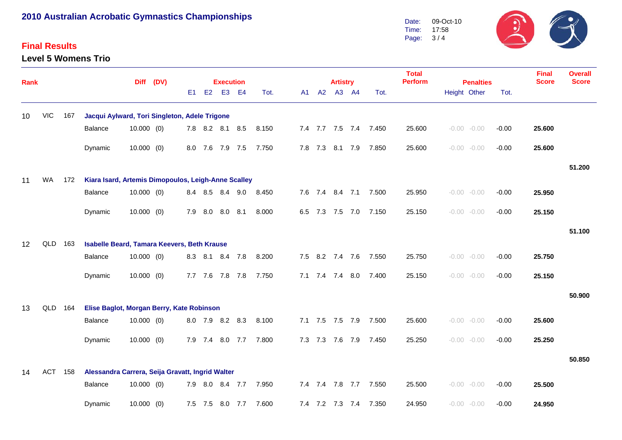#### **Final Results**

**Level 5 Womens Trio**



| <b>Rank</b> |            |     |                                                     |              | Diff (DV) |     |             | <b>Execution</b> |           |       |    |         | <b>Artistry</b> |                 |                       | <b>Total</b><br><b>Perform</b> | <b>Penalties</b> |                |         | <b>Final</b><br><b>Score</b> | <b>Overall</b><br><b>Score</b> |
|-------------|------------|-----|-----------------------------------------------------|--------------|-----------|-----|-------------|------------------|-----------|-------|----|---------|-----------------|-----------------|-----------------------|--------------------------------|------------------|----------------|---------|------------------------------|--------------------------------|
|             |            |     |                                                     |              |           | E1  | E2          | E <sub>3</sub>   | <b>E4</b> | Tot.  | A1 | A2      |                 | A3 A4           | Tot.                  |                                | Height Other     |                | Tot.    |                              |                                |
| 10          | <b>VIC</b> | 167 | Jacqui Aylward, Tori Singleton, Adele Trigone       |              |           |     |             |                  |           |       |    |         |                 |                 |                       |                                |                  |                |         |                              |                                |
|             |            |     | Balance                                             | $10.000$ (0) |           |     |             | 7.8 8.2 8.1 8.5  |           | 8.150 |    |         |                 |                 | 7.4 7.7 7.5 7.4 7.450 | 25.600                         |                  | $-0.00 - 0.00$ | $-0.00$ | 25.600                       |                                |
|             |            |     | Dynamic                                             | $10.000$ (0) |           |     |             | 8.0 7.6 7.9 7.5  |           | 7.750 |    | 7.8 7.3 |                 | 8.1 7.9         | 7.850                 | 25.600                         | $-0.00 - 0.00$   |                | $-0.00$ | 25.600                       |                                |
|             |            |     |                                                     |              |           |     |             |                  |           |       |    |         |                 |                 |                       |                                |                  |                |         |                              | 51.200                         |
| 11          | <b>WA</b>  | 172 | Kiara Isard, Artemis Dimopoulos, Leigh-Anne Scalley |              |           |     |             |                  |           |       |    |         |                 |                 |                       |                                |                  |                |         |                              |                                |
|             |            |     | Balance                                             | 10.000(0)    |           |     |             | 8.4 8.5 8.4 9.0  |           | 8.450 |    |         |                 | 7.6 7.4 8.4 7.1 | 7.500                 | 25.950                         |                  | $-0.00 - 0.00$ | $-0.00$ | 25.950                       |                                |
|             |            |     | Dynamic                                             | $10.000$ (0) |           | 7.9 | 8.0         | 8.0              | 8.1       | 8.000 |    | 6.5 7.3 | 7.5 7.0         |                 | 7.150                 | 25.150                         | $-0.00 - 0.00$   |                | $-0.00$ | 25.150                       |                                |
|             |            |     |                                                     |              |           |     |             |                  |           |       |    |         |                 |                 |                       |                                |                  |                |         |                              | 51.100                         |
| 12          | QLD        | 163 | Isabelle Beard, Tamara Keevers, Beth Krause         |              |           |     |             |                  |           |       |    |         |                 |                 |                       |                                |                  |                |         |                              |                                |
|             |            |     | Balance                                             | $10.000$ (0) |           |     | 8.3 8.1     |                  | 8.4 7.8   | 8.200 |    |         | 7.5 8.2 7.4 7.6 |                 | 7.550                 | 25.750                         |                  | $-0.00 - 0.00$ | $-0.00$ | 25.750                       |                                |
|             |            |     | Dynamic                                             | $10.000$ (0) |           |     |             | 7.7 7.6 7.8 7.8  |           | 7.750 |    |         | 7.1 7.4 7.4 8.0 |                 | 7.400                 | 25.150                         | $-0.00 - 0.00$   |                | $-0.00$ | 25.150                       |                                |
|             |            |     |                                                     |              |           |     |             |                  |           |       |    |         |                 |                 |                       |                                |                  |                |         |                              | 50.900                         |
| 13          | QLD        | 164 | Elise Baglot, Morgan Berry, Kate Robinson           |              |           |     |             |                  |           |       |    |         |                 |                 |                       |                                |                  |                |         |                              |                                |
|             |            |     | Balance                                             | $10.000$ (0) |           |     |             | 8.0 7.9 8.2 8.3  |           | 8.100 |    |         | 7.1 7.5 7.5 7.9 |                 | 7.500                 | 25.600                         |                  | $-0.00 - 0.00$ | $-0.00$ | 25.600                       |                                |
|             |            |     | Dynamic                                             | $10.000$ (0) |           |     | 7.9 7.4     |                  | 8.0 7.7   | 7.800 |    | 7.3 7.3 | 7.6 7.9         |                 | 7.450                 | 25.250                         |                  | $-0.00 - 0.00$ | $-0.00$ | 25.250                       |                                |
|             |            |     |                                                     |              |           |     |             |                  |           |       |    |         |                 |                 |                       |                                |                  |                |         |                              | 50.850                         |
| 14          | <b>ACT</b> | 158 | Alessandra Carrera, Seija Gravatt, Ingrid Walter    |              |           |     |             |                  |           |       |    |         |                 |                 |                       |                                |                  |                |         |                              |                                |
|             |            |     | Balance                                             | $10.000$ (0) |           |     | 7.9 8.0 8.4 |                  | 7.7       | 7.950 |    |         |                 | 7.4 7.4 7.8 7.7 | 7.550                 | 25.500                         |                  | $-0.00 - 0.00$ | $-0.00$ | 25.500                       |                                |
|             |            |     | Dynamic                                             | $10.000$ (0) |           |     | 7.5 7.5     | 8.0 7.7          |           | 7.600 |    |         | 7.4 7.2 7.3 7.4 |                 | 7.350                 | 24.950                         |                  | $-0.00 - 0.00$ | $-0.00$ | 24.950                       |                                |